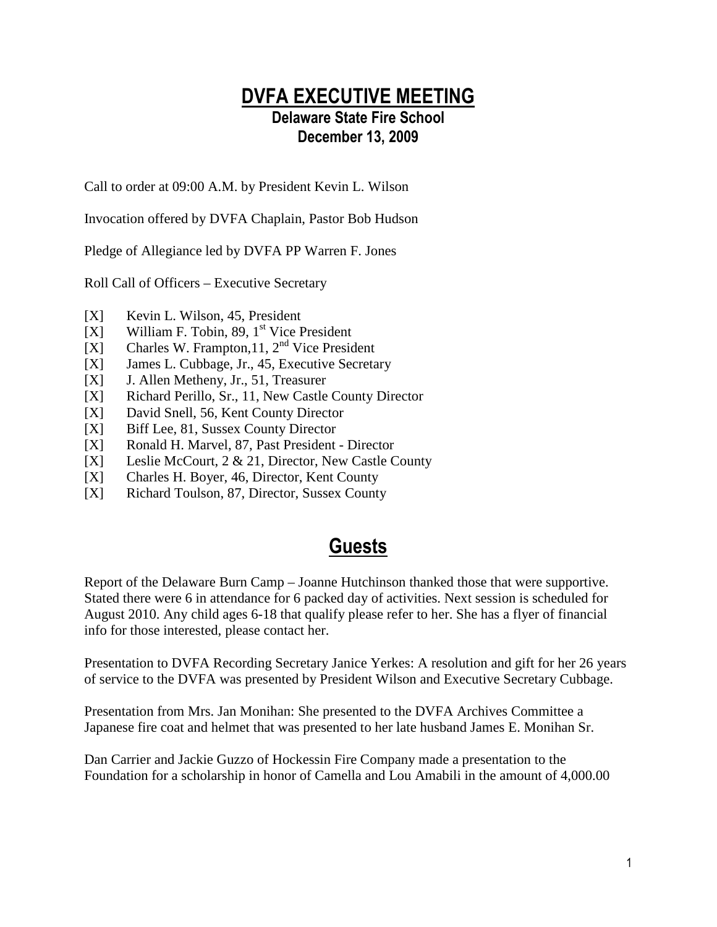#### DVFA EXECUTIVE MEETING Delaware State Fire School December 13, 2009

Call to order at 09:00 A.M. by President Kevin L. Wilson

Invocation offered by DVFA Chaplain, Pastor Bob Hudson

Pledge of Allegiance led by DVFA PP Warren F. Jones

Roll Call of Officers – Executive Secretary

- [X] Kevin L. Wilson, 45, President
- $[X]$  William F. Tobin, 89, 1<sup>st</sup> Vice President
- [X] Charles W. Frampton, 11,  $2<sup>nd</sup>$  Vice President
- [X] James L. Cubbage, Jr., 45, Executive Secretary
- [X] J. Allen Metheny, Jr., 51, Treasurer
- [X] Richard Perillo, Sr., 11, New Castle County Director
- [X] David Snell, 56, Kent County Director
- [X] Biff Lee, 81, Sussex County Director
- [X] Ronald H. Marvel, 87, Past President Director
- [X] Leslie McCourt, 2 & 21, Director, New Castle County
- [X] Charles H. Boyer, 46, Director, Kent County
- [X] Richard Toulson, 87, Director, Sussex County

## Guests

Report of the Delaware Burn Camp – Joanne Hutchinson thanked those that were supportive. Stated there were 6 in attendance for 6 packed day of activities. Next session is scheduled for August 2010. Any child ages 6-18 that qualify please refer to her. She has a flyer of financial info for those interested, please contact her.

Presentation to DVFA Recording Secretary Janice Yerkes: A resolution and gift for her 26 years of service to the DVFA was presented by President Wilson and Executive Secretary Cubbage.

Presentation from Mrs. Jan Monihan: She presented to the DVFA Archives Committee a Japanese fire coat and helmet that was presented to her late husband James E. Monihan Sr.

Dan Carrier and Jackie Guzzo of Hockessin Fire Company made a presentation to the Foundation for a scholarship in honor of Camella and Lou Amabili in the amount of 4,000.00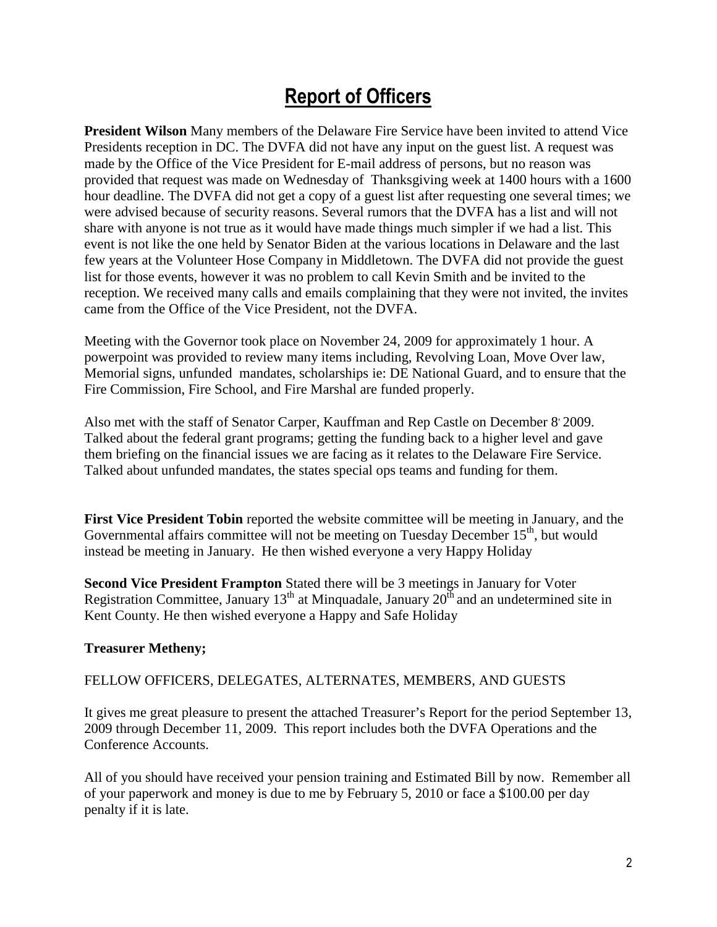# Report of Officers

**President Wilson** Many members of the Delaware Fire Service have been invited to attend Vice Presidents reception in DC. The DVFA did not have any input on the guest list. A request was made by the Office of the Vice President for E-mail address of persons, but no reason was provided that request was made on Wednesday of Thanksgiving week at 1400 hours with a 1600 hour deadline. The DVFA did not get a copy of a guest list after requesting one several times; we were advised because of security reasons. Several rumors that the DVFA has a list and will not share with anyone is not true as it would have made things much simpler if we had a list. This event is not like the one held by Senator Biden at the various locations in Delaware and the last few years at the Volunteer Hose Company in Middletown. The DVFA did not provide the guest list for those events, however it was no problem to call Kevin Smith and be invited to the reception. We received many calls and emails complaining that they were not invited, the invites came from the Office of the Vice President, not the DVFA.

Meeting with the Governor took place on November 24, 2009 for approximately 1 hour. A powerpoint was provided to review many items including, Revolving Loan, Move Over law, Memorial signs, unfunded mandates, scholarships ie: DE National Guard, and to ensure that the Fire Commission, Fire School, and Fire Marshal are funded properly.

Also met with the staff of Senator Carper, Kauffman and Rep Castle on December 8, 2009. Talked about the federal grant programs; getting the funding back to a higher level and gave them briefing on the financial issues we are facing as it relates to the Delaware Fire Service. Talked about unfunded mandates, the states special ops teams and funding for them.

**First Vice President Tobin** reported the website committee will be meeting in January, and the Governmental affairs committee will not be meeting on Tuesday December 15<sup>th</sup>, but would instead be meeting in January. He then wished everyone a very Happy Holiday

**Second Vice President Frampton** Stated there will be 3 meetings in January for Voter Registration Committee, January  $13<sup>th</sup>$  at Minquadale, January  $20<sup>th</sup>$  and an undetermined site in Kent County. He then wished everyone a Happy and Safe Holiday

#### **Treasurer Metheny;**

#### FELLOW OFFICERS, DELEGATES, ALTERNATES, MEMBERS, AND GUESTS

It gives me great pleasure to present the attached Treasurer's Report for the period September 13, 2009 through December 11, 2009. This report includes both the DVFA Operations and the Conference Accounts.

All of you should have received your pension training and Estimated Bill by now. Remember all of your paperwork and money is due to me by February 5, 2010 or face a \$100.00 per day penalty if it is late.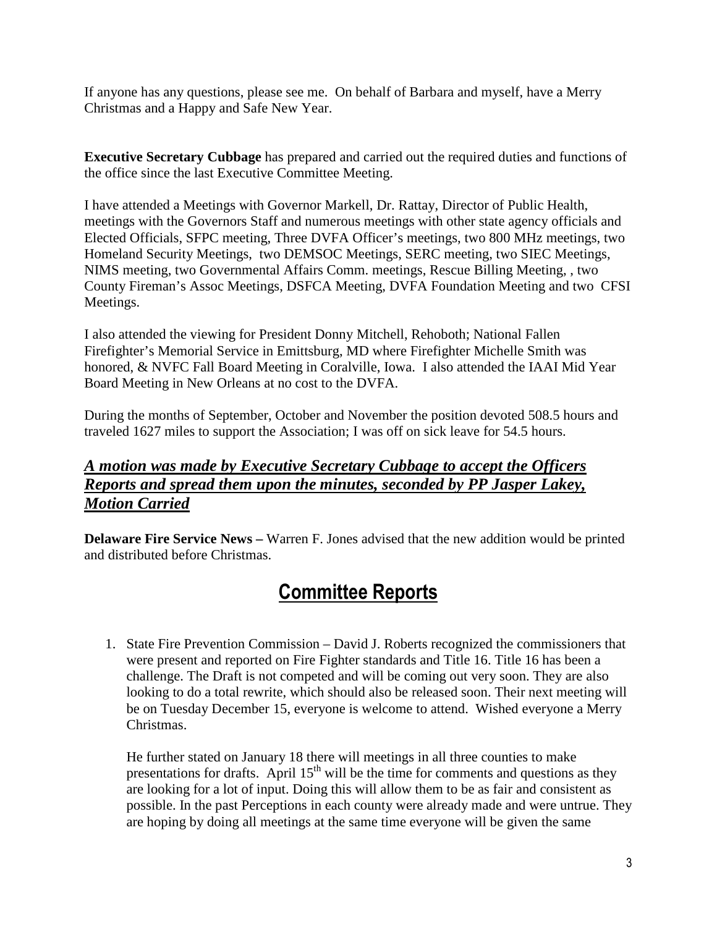If anyone has any questions, please see me. On behalf of Barbara and myself, have a Merry Christmas and a Happy and Safe New Year.

**Executive Secretary Cubbage** has prepared and carried out the required duties and functions of the office since the last Executive Committee Meeting.

I have attended a Meetings with Governor Markell, Dr. Rattay, Director of Public Health, meetings with the Governors Staff and numerous meetings with other state agency officials and Elected Officials, SFPC meeting, Three DVFA Officer's meetings, two 800 MHz meetings, two Homeland Security Meetings, two DEMSOC Meetings, SERC meeting, two SIEC Meetings, NIMS meeting, two Governmental Affairs Comm. meetings, Rescue Billing Meeting, , two County Fireman's Assoc Meetings, DSFCA Meeting, DVFA Foundation Meeting and two CFSI Meetings.

I also attended the viewing for President Donny Mitchell, Rehoboth; National Fallen Firefighter's Memorial Service in Emittsburg, MD where Firefighter Michelle Smith was honored, & NVFC Fall Board Meeting in Coralville, Iowa. I also attended the IAAI Mid Year Board Meeting in New Orleans at no cost to the DVFA.

During the months of September, October and November the position devoted 508.5 hours and traveled 1627 miles to support the Association; I was off on sick leave for 54.5 hours.

#### *A motion was made by Executive Secretary Cubbage to accept the Officers Reports and spread them upon the minutes, seconded by PP Jasper Lakey, Motion Carried*

**Delaware Fire Service News – Warren F. Jones advised that the new addition would be printed** and distributed before Christmas.

# Committee Reports

1. State Fire Prevention Commission – David J. Roberts recognized the commissioners that were present and reported on Fire Fighter standards and Title 16. Title 16 has been a challenge. The Draft is not competed and will be coming out very soon. They are also looking to do a total rewrite, which should also be released soon. Their next meeting will be on Tuesday December 15, everyone is welcome to attend. Wished everyone a Merry Christmas.

He further stated on January 18 there will meetings in all three counties to make presentations for drafts. April  $15<sup>th</sup>$  will be the time for comments and questions as they are looking for a lot of input. Doing this will allow them to be as fair and consistent as possible. In the past Perceptions in each county were already made and were untrue. They are hoping by doing all meetings at the same time everyone will be given the same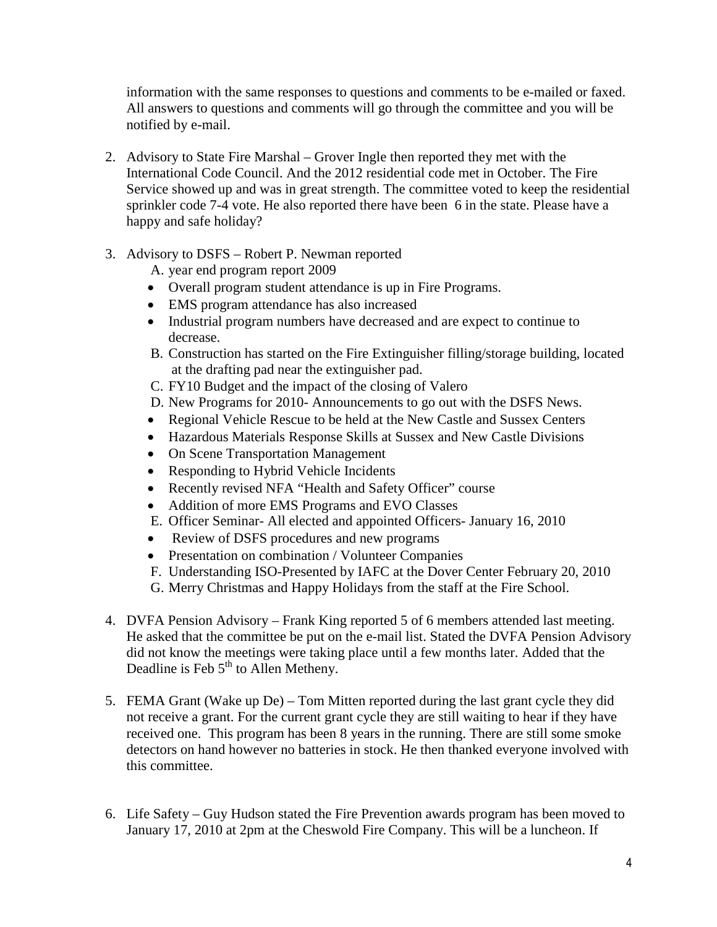information with the same responses to questions and comments to be e-mailed or faxed. All answers to questions and comments will go through the committee and you will be notified by e-mail.

- 2. Advisory to State Fire Marshal Grover Ingle then reported they met with the International Code Council. And the 2012 residential code met in October. The Fire Service showed up and was in great strength. The committee voted to keep the residential sprinkler code 7-4 vote. He also reported there have been 6 in the state. Please have a happy and safe holiday?
- 3. Advisory to DSFS Robert P. Newman reported

A. year end program report 2009

- Overall program student attendance is up in Fire Programs.
- EMS program attendance has also increased
- Industrial program numbers have decreased and are expect to continue to decrease.
- B. Construction has started on the Fire Extinguisher filling/storage building, located at the drafting pad near the extinguisher pad.
- C. FY10 Budget and the impact of the closing of Valero
- D. New Programs for 2010- Announcements to go out with the DSFS News.
- Regional Vehicle Rescue to be held at the New Castle and Sussex Centers
- Hazardous Materials Response Skills at Sussex and New Castle Divisions
- On Scene Transportation Management
- Responding to Hybrid Vehicle Incidents
- Recently revised NFA "Health and Safety Officer" course
- Addition of more EMS Programs and EVO Classes
- E. Officer Seminar- All elected and appointed Officers- January 16, 2010
- Review of DSFS procedures and new programs
- Presentation on combination / Volunteer Companies
- F. Understanding ISO-Presented by IAFC at the Dover Center February 20, 2010
- G. Merry Christmas and Happy Holidays from the staff at the Fire School.
- 4. DVFA Pension Advisory Frank King reported 5 of 6 members attended last meeting. He asked that the committee be put on the e-mail list. Stated the DVFA Pension Advisory did not know the meetings were taking place until a few months later. Added that the Deadline is Feb 5<sup>th</sup> to Allen Metheny.
- 5. FEMA Grant (Wake up De) Tom Mitten reported during the last grant cycle they did not receive a grant. For the current grant cycle they are still waiting to hear if they have received one. This program has been 8 years in the running. There are still some smoke detectors on hand however no batteries in stock. He then thanked everyone involved with this committee.
- 6. Life Safety Guy Hudson stated the Fire Prevention awards program has been moved to January 17, 2010 at 2pm at the Cheswold Fire Company. This will be a luncheon. If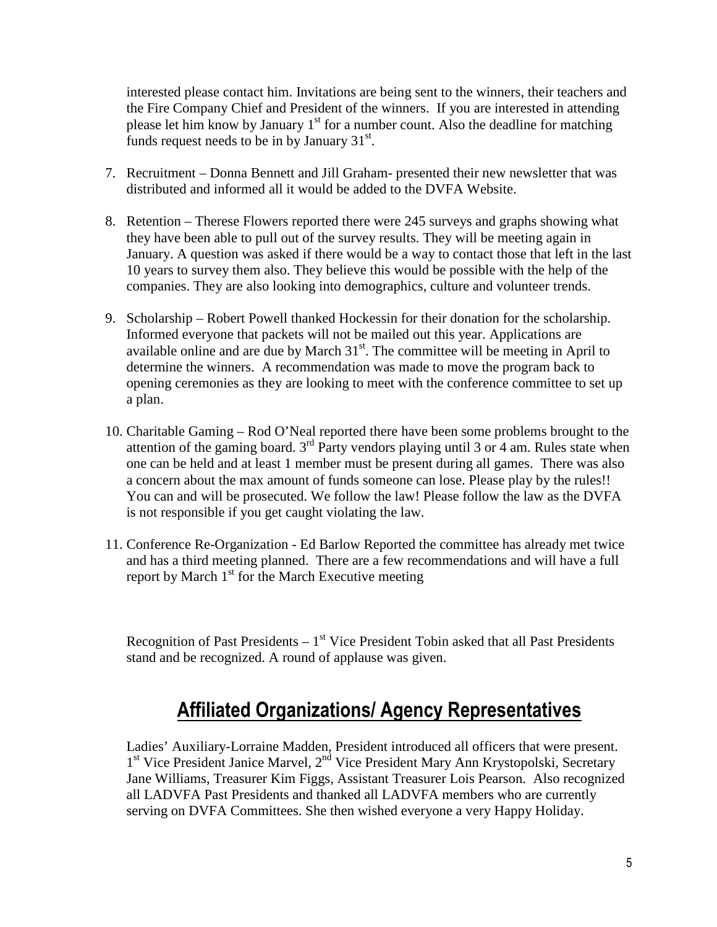interested please contact him. Invitations are being sent to the winners, their teachers and the Fire Company Chief and President of the winners. If you are interested in attending please let him know by January  $1<sup>st</sup>$  for a number count. Also the deadline for matching funds request needs to be in by January  $31<sup>st</sup>$ .

- 7. Recruitment Donna Bennett and Jill Graham- presented their new newsletter that was distributed and informed all it would be added to the DVFA Website.
- 8. Retention Therese Flowers reported there were 245 surveys and graphs showing what they have been able to pull out of the survey results. They will be meeting again in January. A question was asked if there would be a way to contact those that left in the last 10 years to survey them also. They believe this would be possible with the help of the companies. They are also looking into demographics, culture and volunteer trends.
- 9. Scholarship Robert Powell thanked Hockessin for their donation for the scholarship. Informed everyone that packets will not be mailed out this year. Applications are available online and are due by March  $31<sup>st</sup>$ . The committee will be meeting in April to determine the winners. A recommendation was made to move the program back to opening ceremonies as they are looking to meet with the conference committee to set up a plan.
- 10. Charitable Gaming Rod O'Neal reported there have been some problems brought to the attention of the gaming board. 3rd Party vendors playing until 3 or 4 am. Rules state when one can be held and at least 1 member must be present during all games. There was also a concern about the max amount of funds someone can lose. Please play by the rules!! You can and will be prosecuted. We follow the law! Please follow the law as the DVFA is not responsible if you get caught violating the law.
- 11. Conference Re-Organization Ed Barlow Reported the committee has already met twice and has a third meeting planned. There are a few recommendations and will have a full report by March  $1<sup>st</sup>$  for the March Executive meeting

Recognition of Past Presidents  $-1<sup>st</sup>$  Vice President Tobin asked that all Past Presidents stand and be recognized. A round of applause was given.

# Affiliated Organizations/ Agency Representatives

Ladies' Auxiliary-Lorraine Madden, President introduced all officers that were present. 1<sup>st</sup> Vice President Janice Marvel, 2<sup>nd</sup> Vice President Mary Ann Krystopolski, Secretary Jane Williams, Treasurer Kim Figgs, Assistant Treasurer Lois Pearson. Also recognized all LADVFA Past Presidents and thanked all LADVFA members who are currently serving on DVFA Committees. She then wished everyone a very Happy Holiday.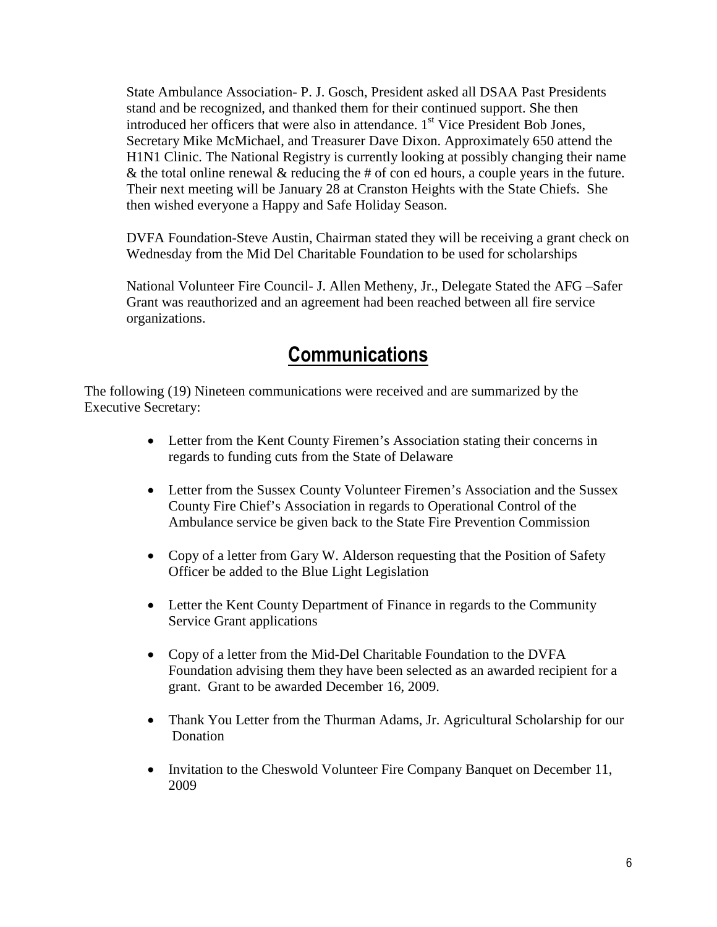State Ambulance Association- P. J. Gosch, President asked all DSAA Past Presidents stand and be recognized, and thanked them for their continued support. She then introduced her officers that were also in attendance.  $1<sup>st</sup>$  Vice President Bob Jones, Secretary Mike McMichael, and Treasurer Dave Dixon. Approximately 650 attend the H1N1 Clinic. The National Registry is currently looking at possibly changing their name  $\&$  the total online renewal  $\&$  reducing the # of con ed hours, a couple years in the future. Their next meeting will be January 28 at Cranston Heights with the State Chiefs. She then wished everyone a Happy and Safe Holiday Season.

DVFA Foundation-Steve Austin, Chairman stated they will be receiving a grant check on Wednesday from the Mid Del Charitable Foundation to be used for scholarships

National Volunteer Fire Council- J. Allen Metheny, Jr., Delegate Stated the AFG –Safer Grant was reauthorized and an agreement had been reached between all fire service organizations.

### **Communications**

The following (19) Nineteen communications were received and are summarized by the Executive Secretary:

- Letter from the Kent County Firemen's Association stating their concerns in regards to funding cuts from the State of Delaware
- Letter from the Sussex County Volunteer Firemen's Association and the Sussex County Fire Chief's Association in regards to Operational Control of the Ambulance service be given back to the State Fire Prevention Commission
- Copy of a letter from Gary W. Alderson requesting that the Position of Safety Officer be added to the Blue Light Legislation
- Letter the Kent County Department of Finance in regards to the Community Service Grant applications
- Copy of a letter from the Mid-Del Charitable Foundation to the DVFA Foundation advising them they have been selected as an awarded recipient for a grant. Grant to be awarded December 16, 2009.
- Thank You Letter from the Thurman Adams, Jr. Agricultural Scholarship for our **Donation**
- Invitation to the Cheswold Volunteer Fire Company Banquet on December 11, 2009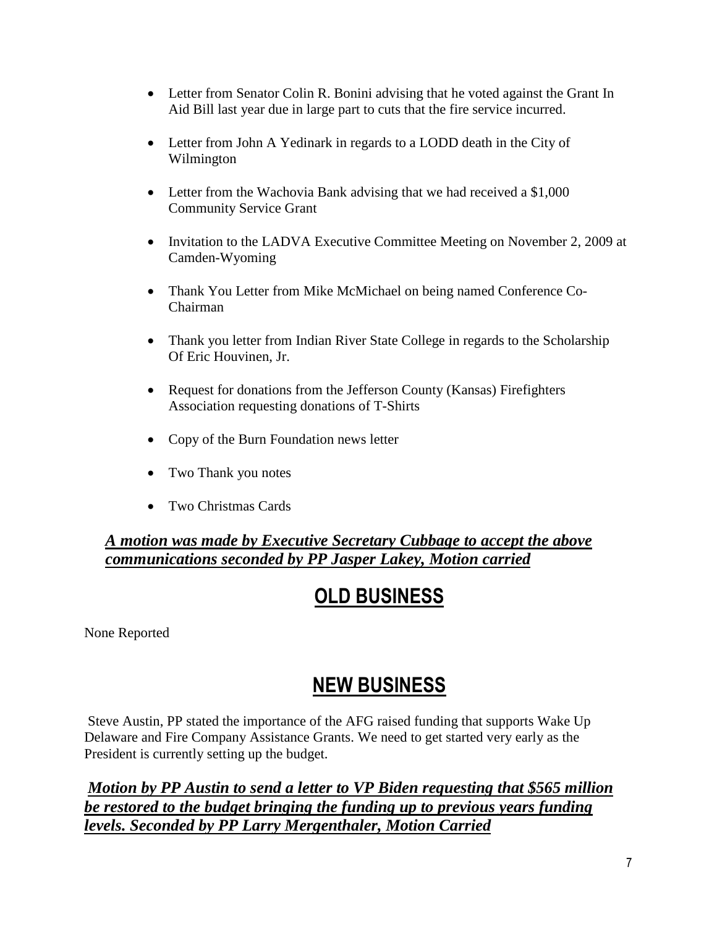- Letter from Senator Colin R. Bonini advising that he voted against the Grant In Aid Bill last year due in large part to cuts that the fire service incurred.
- Letter from John A Yedinark in regards to a LODD death in the City of Wilmington
- Letter from the Wachovia Bank advising that we had received a \$1,000 Community Service Grant
- Invitation to the LADVA Executive Committee Meeting on November 2, 2009 at Camden-Wyoming
- Thank You Letter from Mike McMichael on being named Conference Co-Chairman
- Thank you letter from Indian River State College in regards to the Scholarship Of Eric Houvinen, Jr.
- Request for donations from the Jefferson County (Kansas) Firefighters Association requesting donations of T-Shirts
- Copy of the Burn Foundation news letter
- Two Thank you notes
- Two Christmas Cards

*A motion was made by Executive Secretary Cubbage to accept the above communications seconded by PP Jasper Lakey, Motion carried*

# OLD BUSINESS

None Reported

## NEW BUSINESS

 Steve Austin, PP stated the importance of the AFG raised funding that supports Wake Up Delaware and Fire Company Assistance Grants. We need to get started very early as the President is currently setting up the budget.

*Motion by PP Austin to send a letter to VP Biden requesting that \$565 million be restored to the budget bringing the funding up to previous years funding levels. Seconded by PP Larry Mergenthaler, Motion Carried*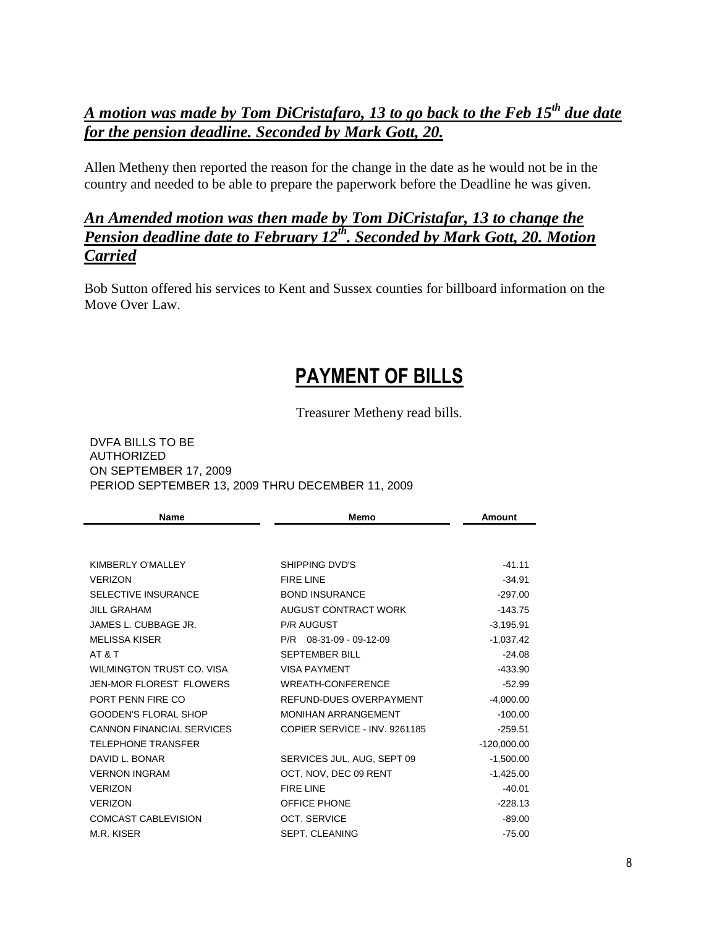#### *A motion was made by Tom DiCristafaro, 13 to go back to the Feb 15th due date for the pension deadline. Seconded by Mark Gott, 20.*

Allen Metheny then reported the reason for the change in the date as he would not be in the country and needed to be able to prepare the paperwork before the Deadline he was given.

#### *An Amended motion was then made by Tom DiCristafar, 13 to change the Pension deadline date to February 12th. Seconded by Mark Gott, 20. Motion Carried*

Bob Sutton offered his services to Kent and Sussex counties for billboard information on the Move Over Law.

## PAYMENT OF BILLS

Treasurer Metheny read bills.

DVFA BILLS TO BE AUTHORIZED ON SEPTEMBER 17, 2009 PERIOD SEPTEMBER 13, 2009 THRU DECEMBER 11, 2009

| <b>Name</b>                    | Memo                          | Amount        |
|--------------------------------|-------------------------------|---------------|
|                                |                               |               |
| KIMBERLY O'MALLEY              | SHIPPING DVD'S                | $-41.11$      |
| <b>VERIZON</b>                 | FIRE LINE                     | $-34.91$      |
| <b>SELECTIVE INSURANCE</b>     | <b>BOND INSURANCE</b>         | $-297.00$     |
| <b>JILL GRAHAM</b>             | AUGUST CONTRACT WORK          | $-143.75$     |
| JAMES L. CUBBAGE JR.           | <b>P/R AUGUST</b>             | $-3,195.91$   |
| <b>MELISSA KISER</b>           | $P/R$ 08-31-09 - 09-12-09     | $-1,037.42$   |
| AT & T                         | <b>SEPTEMBER BILL</b>         | $-24.08$      |
| WILMINGTON TRUST CO. VISA      | <b>VISA PAYMENT</b>           | -433.90       |
| <b>JEN-MOR FLOREST FLOWERS</b> | <b>WREATH-CONFERENCE</b>      | $-52.99$      |
| PORT PENN FIRE CO              | REFUND-DUES OVERPAYMENT       | $-4,000.00$   |
| <b>GOODEN'S FLORAL SHOP</b>    | <b>MONIHAN ARRANGEMENT</b>    | $-100.00$     |
| CANNON FINANCIAL SERVICES      | COPIER SERVICE - INV. 9261185 | $-259.51$     |
| <b>TELEPHONE TRANSFER</b>      |                               | $-120,000.00$ |
| DAVID L. BONAR                 | SERVICES JUL, AUG, SEPT 09    | $-1,500.00$   |
| <b>VERNON INGRAM</b>           | OCT, NOV, DEC 09 RENT         | $-1,425.00$   |
| <b>VERIZON</b>                 | <b>FIRE LINE</b>              | $-40.01$      |
| <b>VERIZON</b>                 | OFFICE PHONE                  | $-228.13$     |
| <b>COMCAST CABLEVISION</b>     | <b>OCT. SERVICE</b>           | $-89.00$      |
| M.R. KISER                     | <b>SEPT. CLEANING</b>         | $-75.00$      |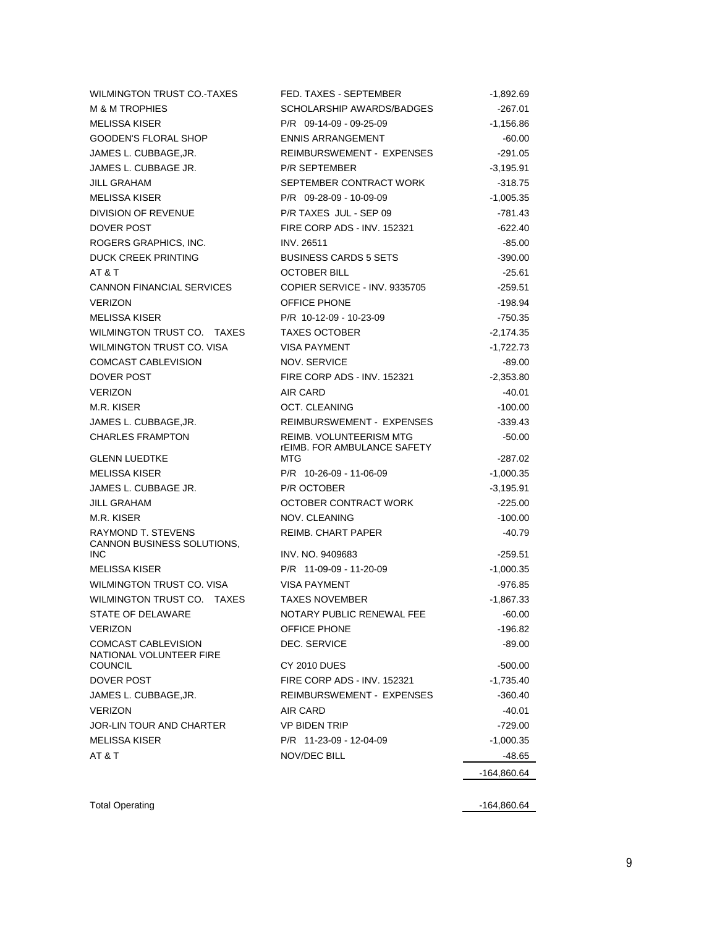| WILMINGTON TRUST CO.-TAXES                   | FED. TAXES - SEPTEMBER                    | $-1,892.69$              |
|----------------------------------------------|-------------------------------------------|--------------------------|
| <b>M &amp; M TROPHIES</b>                    | SCHOLARSHIP AWARDS/BADGES                 | $-267.01$                |
| <b>MELISSA KISER</b>                         | P/R 09-14-09 - 09-25-09                   | $-1,156.86$              |
| <b>GOODEN'S FLORAL SHOP</b>                  | <b>ENNIS ARRANGEMENT</b>                  | $-60.00$                 |
| JAMES L. CUBBAGE, JR.                        | <b>REIMBURSWEMENT - EXPENSES</b>          | $-291.05$                |
| JAMES L. CUBBAGE JR.                         | <b>P/R SEPTEMBER</b>                      | $-3,195.91$              |
| JILL GRAHAM                                  | SEPTEMBER CONTRACT WORK                   | $-318.75$                |
| <b>MELISSA KISER</b>                         | P/R 09-28-09 - 10-09-09                   | $-1,005.35$              |
| DIVISION OF REVENUE                          | P/R TAXES JUL - SEP 09                    | -781.43                  |
| DOVER POST                                   | <b>FIRE CORP ADS - INV. 152321</b>        | $-622.40$                |
| ROGERS GRAPHICS, INC.                        | <b>INV. 26511</b>                         | -85.00                   |
| DUCK CREEK PRINTING                          | <b>BUSINESS CARDS 5 SETS</b>              | $-390.00$                |
| AT&T                                         | <b>OCTOBER BILL</b>                       | $-25.61$                 |
| <b>CANNON FINANCIAL SERVICES</b>             | COPIER SERVICE - INV. 9335705             | $-259.51$                |
| <b>VERIZON</b>                               | OFFICE PHONE                              | $-198.94$                |
| <b>MELISSA KISER</b>                         | P/R 10-12-09 - 10-23-09                   | $-750.35$                |
| WILMINGTON TRUST CO. TAXES                   | <b>TAXES OCTOBER</b>                      | $-2,174.35$              |
| WILMINGTON TRUST CO. VISA                    | <b>VISA PAYMENT</b>                       | $-1,722.73$              |
| COMCAST CABLEVISION                          | NOV. SERVICE                              | -89.00                   |
| DOVER POST                                   | FIRE CORP ADS - INV. 152321               | $-2,353.80$              |
| <b>VERIZON</b>                               | AIR CARD                                  | $-40.01$                 |
| M.R. KISER                                   | OCT. CLEANING                             | $-100.00$                |
| JAMES L. CUBBAGE, JR.                        | REIMBURSWEMENT - EXPENSES                 | $-339.43$                |
| <b>CHARLES FRAMPTON</b>                      | <b>REIMB. VOLUNTEERISM MTG</b>            | $-50.00$                 |
|                                              | <b>rEIMB. FOR AMBULANCE SAFETY</b><br>MTG |                          |
| <b>GLENN LUEDTKE</b>                         |                                           | -287.02                  |
| <b>MELISSA KISER</b><br>JAMES L. CUBBAGE JR. | P/R 10-26-09 - 11-06-09<br>P/R OCTOBER    | $-1,000.35$              |
| <b>JILL GRAHAM</b>                           | OCTOBER CONTRACT WORK                     | $-3,195.91$<br>$-225.00$ |
| M.R. KISER                                   | NOV. CLEANING                             | $-100.00$                |
| RAYMOND T. STEVENS                           | <b>REIMB. CHART PAPER</b>                 | $-40.79$                 |
| CANNON BUSINESS SOLUTIONS,                   |                                           |                          |
| <b>INC</b>                                   | INV. NO. 9409683                          | $-259.51$                |
| <b>MELISSA KISER</b>                         | P/R 11-09-09 - 11-20-09                   | $-1,000.35$              |
| WILMINGTON TRUST CO. VISA                    | <b>VISA PAYMENT</b>                       | $-976.85$                |
| WILMINGTON TRUST CO. TAXES                   | <b>TAXES NOVEMBER</b>                     | -1,867.33                |
| STATE OF DELAWARE                            | NOTARY PUBLIC RENEWAL FEE                 | $-60.00$                 |
| <b>VERIZON</b>                               | OFFICE PHONE                              | -196.82                  |
| <b>COMCAST CABLEVISION</b>                   | DEC. SERVICE                              | $-89.00$                 |
| NATIONAL VOLUNTEER FIRE<br><b>COUNCIL</b>    | <b>CY 2010 DUES</b>                       | -500.00                  |
| DOVER POST                                   | FIRE CORP ADS - INV. 152321               | -1,735.40                |
| JAMES L. CUBBAGE, JR.                        | REIMBURSWEMENT - EXPENSES                 | -360.40                  |
| <b>VERIZON</b>                               | AIR CARD                                  | $-40.01$                 |
| JOR-LIN TOUR AND CHARTER                     | <b>VP BIDEN TRIP</b>                      | -729.00                  |
| <b>MELISSA KISER</b>                         | P/R 11-23-09 - 12-04-09                   | $-1,000.35$              |
| AT&T                                         | NOV/DEC BILL                              | -48.65                   |
|                                              |                                           | $-164,860.64$            |
|                                              |                                           |                          |
|                                              |                                           |                          |

Total Operating -164,860.64